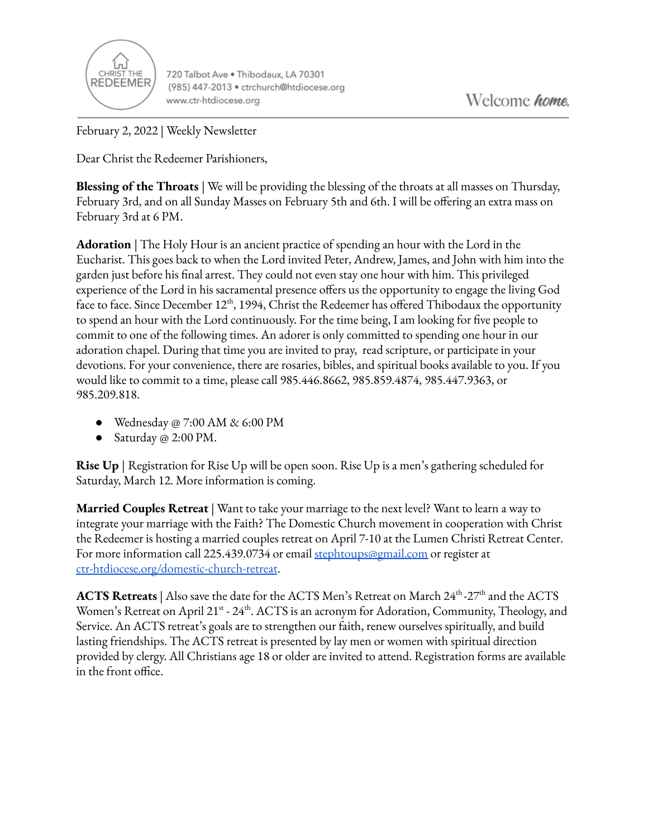

720 Talbot Ave . Thibodaux, LA 70301 (985) 447-2013 · ctrchurch@htdiocese.org www.ctr-htdiocese.org

February 2, 2022 | Weekly Newsletter

Dear Christ the Redeemer Parishioners,

**Blessing of the Throats** | We will be providing the blessing of the throats at all masses on Thursday, February 3rd, and on all Sunday Masses on February 5th and 6th. I will be offering an extra mass on February 3rd at 6 PM.

**Adoration** | The Holy Hour is an ancient practice of spending an hour with the Lord in the Eucharist. This goes back to when the Lord invited Peter, Andrew, James, and John with him into the garden just before his final arrest. They could not even stay one hour with him. This privileged experience of the Lord in his sacramental presence offers us the opportunity to engage the living God face to face. Since December 12<sup>th</sup>, 1994, Christ the Redeemer has offered Thibodaux the opportunity to spend an hour with the Lord continuously. For the time being, I am looking for five people to commit to one of the following times. An adorer is only committed to spending one hour in our adoration chapel. During that time you are invited to pray, read scripture, or participate in your devotions. For your convenience, there are rosaries, bibles, and spiritual books available to you. If you would like to commit to a time, please call 985.446.8662, 985.859.4874, 985.447.9363, or 985.209.818.

- Wednesday @ 7:00 AM & 6:00 PM
- Saturday @ 2:00 PM.

**Rise Up** | Registration for Rise Up will be open soon. Rise Up is a men's gathering scheduled for Saturday, March 12. More information is coming.

**Married Couples Retreat** | Want to take your marriage to the next level? Want to learn a way to integrate your marriage with the Faith? The Domestic Church movement in cooperation with Christ the Redeemer is hosting a married couples retreat on April 7-10 at the Lumen Christi Retreat Center. For more information call 225.439.0734 or email [stephtoups@gmail.com](mailto:stephtoups@gmail.com) or register at [ctr-htdiocese.org/domestic-church-retreat](https://www.ctr-htdiocese.org/domestic-church-retreat).

**ACTS Retreats** | Also save the date for the ACTS Men's Retreat on March 24<sup>th</sup> -27<sup>th</sup> and the ACTS Women's Retreat on April 21<sup>st</sup> - 24<sup>th</sup>. ACTS is an acronym for Adoration, Community, Theology, and Service. An ACTS retreat's goals are to strengthen our faith, renew ourselves spiritually, and build lasting friendships. The ACTS retreat is presented by lay men or women with spiritual direction provided by clergy. All Christians age 18 or older are invited to attend. Registration forms are available in the front office.